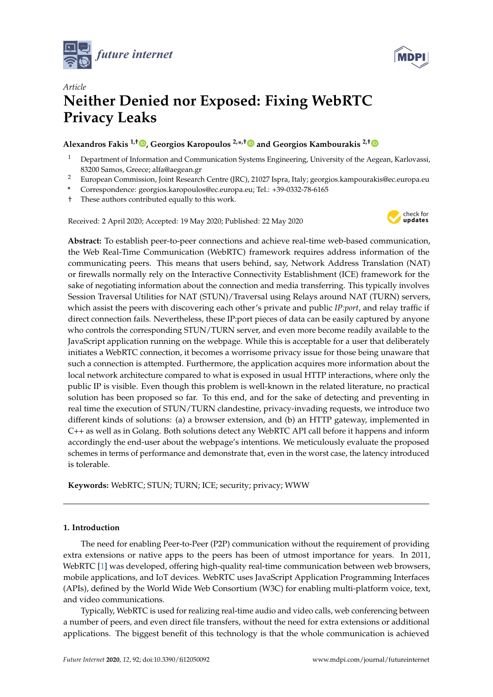



# *Article* **Neither Denied nor Exposed: Fixing WebRTC Privacy Leaks**

# **Alexandros Fakis 1,† [,](https://orcid.org/0000-0002-9673-0002) Georgios Karopoulos 2,\* ,[†](https://orcid.org/0000-0002-0142-7503) and Georgios Kambourakis 2,[†](https://orcid.org/0000-0001-6348-5031)**

- <sup>1</sup> Department of Information and Communication Systems Engineering, University of the Aegean, Karlovassi, 83200 Samos, Greece; alfa@aegean.gr
- <sup>2</sup> European Commission, Joint Research Centre (JRC), 21027 Ispra, Italy; georgios.kampourakis@ec.europa.eu
- **\*** Correspondence: georgios.karopoulos@ec.europa.eu; Tel.: +39-0332-78-6165
- † These authors contributed equally to this work.

Received: 2 April 2020; Accepted: 19 May 2020; Published: 22 May 2020



**Abstract:** To establish peer-to-peer connections and achieve real-time web-based communication, the Web Real-Time Communication (WebRTC) framework requires address information of the communicating peers. This means that users behind, say, Network Address Translation (NAT) or firewalls normally rely on the Interactive Connectivity Establishment (ICE) framework for the sake of negotiating information about the connection and media transferring. This typically involves Session Traversal Utilities for NAT (STUN)/Traversal using Relays around NAT (TURN) servers, which assist the peers with discovering each other's private and public *IP:port*, and relay traffic if direct connection fails. Nevertheless, these IP:port pieces of data can be easily captured by anyone who controls the corresponding STUN/TURN server, and even more become readily available to the JavaScript application running on the webpage. While this is acceptable for a user that deliberately initiates a WebRTC connection, it becomes a worrisome privacy issue for those being unaware that such a connection is attempted. Furthermore, the application acquires more information about the local network architecture compared to what is exposed in usual HTTP interactions, where only the public IP is visible. Even though this problem is well-known in the related literature, no practical solution has been proposed so far. To this end, and for the sake of detecting and preventing in real time the execution of STUN/TURN clandestine, privacy-invading requests, we introduce two different kinds of solutions: (a) a browser extension, and (b) an HTTP gateway, implemented in C++ as well as in Golang. Both solutions detect any WebRTC API call before it happens and inform accordingly the end-user about the webpage's intentions. We meticulously evaluate the proposed schemes in terms of performance and demonstrate that, even in the worst case, the latency introduced is tolerable.

**Keywords:** WebRTC; STUN; TURN; ICE; security; privacy; WWW

## **1. Introduction**

The need for enabling Peer-to-Peer (P2P) communication without the requirement of providing extra extensions or native apps to the peers has been of utmost importance for years. In 2011, WebRTC [\[1\]](#page-17-0) was developed, offering high-quality real-time communication between web browsers, mobile applications, and IoT devices. WebRTC uses JavaScript Application Programming Interfaces (APIs), defined by the World Wide Web Consortium (W3C) for enabling multi-platform voice, text, and video communications.

Typically, WebRTC is used for realizing real-time audio and video calls, web conferencing between a number of peers, and even direct file transfers, without the need for extra extensions or additional applications. The biggest benefit of this technology is that the whole communication is achieved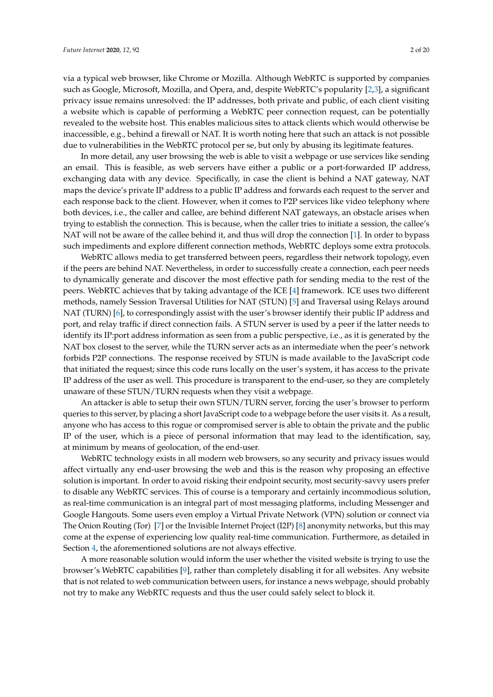via a typical web browser, like Chrome or Mozilla. Although WebRTC is supported by companies such as Google, Microsoft, Mozilla, and Opera, and, despite WebRTC's popularity [\[2](#page-17-1)[,3\]](#page-17-2), a significant privacy issue remains unresolved: the IP addresses, both private and public, of each client visiting a website which is capable of performing a WebRTC peer connection request, can be potentially revealed to the website host. This enables malicious sites to attack clients which would otherwise be inaccessible, e.g., behind a firewall or NAT. It is worth noting here that such an attack is not possible due to vulnerabilities in the WebRTC protocol per se, but only by abusing its legitimate features.

In more detail, any user browsing the web is able to visit a webpage or use services like sending an email. This is feasible, as web servers have either a public or a port-forwarded IP address, exchanging data with any device. Specifically, in case the client is behind a NAT gateway, NAT maps the device's private IP address to a public IP address and forwards each request to the server and each response back to the client. However, when it comes to P2P services like video telephony where both devices, i.e., the caller and callee, are behind different NAT gateways, an obstacle arises when trying to establish the connection. This is because, when the caller tries to initiate a session, the callee's NAT will not be aware of the callee behind it, and thus will drop the connection [\[1\]](#page-17-0). In order to bypass such impediments and explore different connection methods, WebRTC deploys some extra protocols.

WebRTC allows media to get transferred between peers, regardless their network topology, even if the peers are behind NAT. Nevertheless, in order to successfully create a connection, each peer needs to dynamically generate and discover the most effective path for sending media to the rest of the peers. WebRTC achieves that by taking advantage of the ICE [\[4\]](#page-17-3) framework. ICE uses two different methods, namely Session Traversal Utilities for NAT (STUN) [\[5\]](#page-17-4) and Traversal using Relays around NAT (TURN) [\[6\]](#page-17-5), to correspondingly assist with the user's browser identify their public IP address and port, and relay traffic if direct connection fails. A STUN server is used by a peer if the latter needs to identify its IP:port address information as seen from a public perspective, i.e., as it is generated by the NAT box closest to the server, while the TURN server acts as an intermediate when the peer's network forbids P2P connections. The response received by STUN is made available to the JavaScript code that initiated the request; since this code runs locally on the user's system, it has access to the private IP address of the user as well. This procedure is transparent to the end-user, so they are completely unaware of these STUN/TURN requests when they visit a webpage.

An attacker is able to setup their own STUN/TURN server, forcing the user's browser to perform queries to this server, by placing a short JavaScript code to a webpage before the user visits it. As a result, anyone who has access to this rogue or compromised server is able to obtain the private and the public IP of the user, which is a piece of personal information that may lead to the identification, say, at minimum by means of geolocation, of the end-user.

WebRTC technology exists in all modern web browsers, so any security and privacy issues would affect virtually any end-user browsing the web and this is the reason why proposing an effective solution is important. In order to avoid risking their endpoint security, most security-savvy users prefer to disable any WebRTC services. This of course is a temporary and certainly incommodious solution, as real-time communication is an integral part of most messaging platforms, including Messenger and Google Hangouts. Some users even employ a Virtual Private Network (VPN) solution or connect via The Onion Routing (Tor) [\[7\]](#page-17-6) or the Invisible Internet Project (I2P) [\[8\]](#page-17-7) anonymity networks, but this may come at the expense of experiencing low quality real-time communication. Furthermore, as detailed in Section [4,](#page-6-0) the aforementioned solutions are not always effective.

A more reasonable solution would inform the user whether the visited website is trying to use the browser's WebRTC capabilities [\[9\]](#page-18-0), rather than completely disabling it for all websites. Any website that is not related to web communication between users, for instance a news webpage, should probably not try to make any WebRTC requests and thus the user could safely select to block it.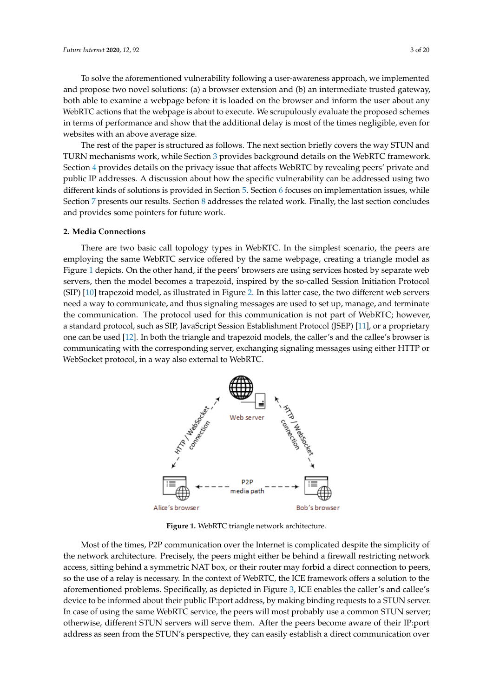To solve the aforementioned vulnerability following a user-awareness approach, we implemented and propose two novel solutions: (a) a browser extension and (b) an intermediate trusted gateway, both able to examine a webpage before it is loaded on the browser and inform the user about any WebRTC actions that the webpage is about to execute. We scrupulously evaluate the proposed schemes in terms of performance and show that the additional delay is most of the times negligible, even for websites with an above average size.

The rest of the paper is structured as follows. The next section briefly covers the way STUN and TURN mechanisms work, while Section [3](#page-4-0) provides background details on the WebRTC framework. Section [4](#page-6-0) provides details on the privacy issue that affects WebRTC by revealing peers' private and public IP addresses. A discussion about how the specific vulnerability can be addressed using two different kinds of solutions is provided in Section [5.](#page-9-0) Section [6](#page-10-0) focuses on implementation issues, while Section [7](#page-12-0) presents our results. Section [8](#page-15-0) addresses the related work. Finally, the last section concludes and provides some pointers for future work.

### <span id="page-2-1"></span>**2. Media Connections**

There are two basic call topology types in WebRTC. In the simplest scenario, the peers are employing the same WebRTC service offered by the same webpage, creating a triangle model as Figure [1](#page-2-0) depicts. On the other hand, if the peers' browsers are using services hosted by separate web servers, then the model becomes a trapezoid, inspired by the so-called Session Initiation Protocol (SIP) [\[10\]](#page-18-1) trapezoid model, as illustrated in Figure [2.](#page-3-0) In this latter case, the two different web servers need a way to communicate, and thus signaling messages are used to set up, manage, and terminate the communication. The protocol used for this communication is not part of WebRTC; however, a standard protocol, such as SIP, JavaScript Session Establishment Protocol (JSEP) [\[11\]](#page-18-2), or a proprietary one can be used [\[12\]](#page-18-3). In both the triangle and trapezoid models, the caller's and the callee's browser is communicating with the corresponding server, exchanging signaling messages using either HTTP or WebSocket protocol, in a way also external to WebRTC.

<span id="page-2-0"></span>

**Figure 1.** WebRTC triangle network architecture.

Most of the times, P2P communication over the Internet is complicated despite the simplicity of the network architecture. Precisely, the peers might either be behind a firewall restricting network access, sitting behind a symmetric NAT box, or their router may forbid a direct connection to peers, so the use of a relay is necessary. In the context of WebRTC, the ICE framework offers a solution to the aforementioned problems. Specifically, as depicted in Figure [3,](#page-3-1) ICE enables the caller's and callee's device to be informed about their public IP:port address, by making binding requests to a STUN server. In case of using the same WebRTC service, the peers will most probably use a common STUN server; otherwise, different STUN servers will serve them. After the peers become aware of their IP:port address as seen from the STUN's perspective, they can easily establish a direct communication over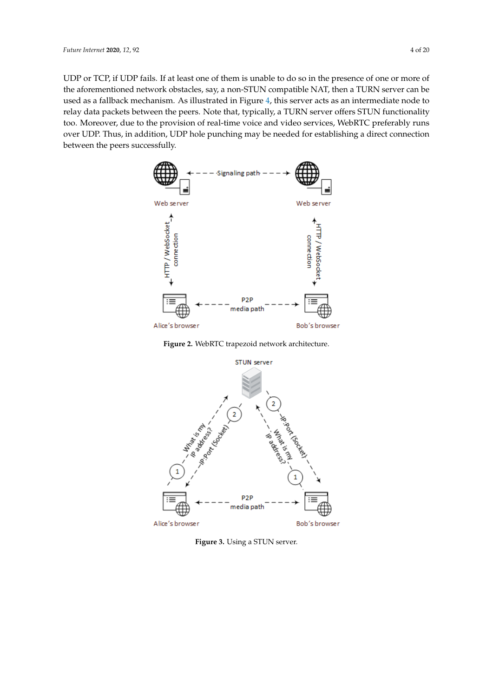UDP or TCP, if UDP fails. If at least one of them is unable to do so in the presence of one or more of the aforementioned network obstacles, say, a non-STUN compatible NAT, then a TURN server can be used as a fallback mechanism. As illustrated in Figure [4,](#page-4-1) this server acts as an intermediate node to relay data packets between the peers. Note that, typically, a TURN server offers STUN functionality too. Moreover, due to the provision of real-time voice and video services, WebRTC preferably runs over UDP. Thus, in addition, UDP hole punching may be needed for establishing a direct connection between the peers successfully.

<span id="page-3-0"></span>

**Figure 2.** WebRTC trapezoid network architecture.

<span id="page-3-1"></span>

**Figure 3.** Using a STUN server.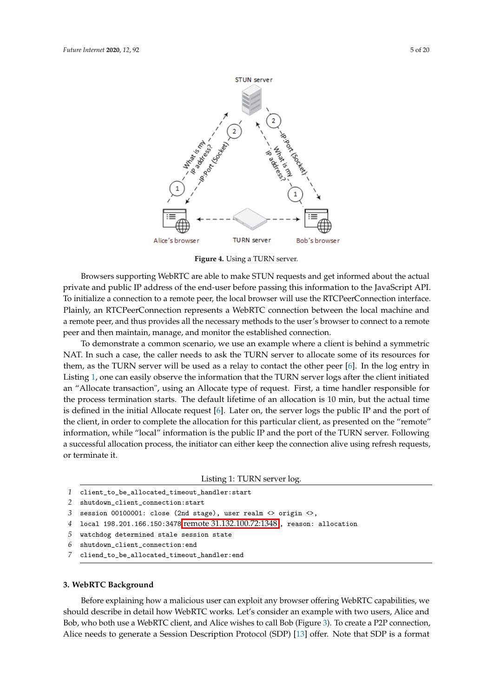<span id="page-4-1"></span>

**Figure 4.** Using a TURN server.

Browsers supporting WebRTC are able to make STUN requests and get informed about the actual private and public IP address of the end-user before passing this information to the JavaScript API. To initialize a connection to a remote peer, the local browser will use the RTCPeerConnection interface. Plainly, an RTCPeerConnection represents a WebRTC connection between the local machine and a remote peer, and thus provides all the necessary methods to the user's browser to connect to a remote peer and then maintain, manage, and monitor the established connection.

To demonstrate a common scenario, we use an example where a client is behind a symmetric NAT. In such a case, the caller needs to ask the TURN server to allocate some of its resources for them, as the TURN server will be used as a relay to contact the other peer [\[6\]](#page-17-5). In the log entry in Listing [1,](#page-4-2) one can easily observe the information that the TURN server logs after the client initiated an "Allocate transaction", using an Allocate type of request. First, a time handler responsible for the process termination starts. The default lifetime of an allocation is 10 min, but the actual time is defined in the initial Allocate request [\[6\]](#page-17-5). Later on, the server logs the public IP and the port of the client, in order to complete the allocation for this particular client, as presented on the "remote" information, while "local" information is the public IP and the port of the TURN server. Following a successful allocation process, the initiator can either keep the connection alive using refresh requests, or terminate it.

```
Listing 1: TURN server log.
```

```
1 client_to_be_allocated_timeout_handler:start
```

```
2 shutdown_client_connection:start
```

```
3 session 00100001: close (2nd stage), user realm \langle origin \langle >,
```

```
4 local 198.201.166.150:3478 remote 31.132.100.72:1348 , reason: allocation
```
- *5* watchdog determined stale session state
- *6* shutdown\_client\_connection:end
- *7* cliend\_to\_be\_allocated\_timeout\_handler:end

# <span id="page-4-0"></span>**3. WebRTC Background**

Before explaining how a malicious user can exploit any browser offering WebRTC capabilities, we should describe in detail how WebRTC works. Let's consider an example with two users, Alice and Bob, who both use a WebRTC client, and Alice wishes to call Bob (Figure [3\)](#page-3-1). To create a P2P connection, Alice needs to generate a Session Description Protocol (SDP) [\[13\]](#page-18-4) offer. Note that SDP is a format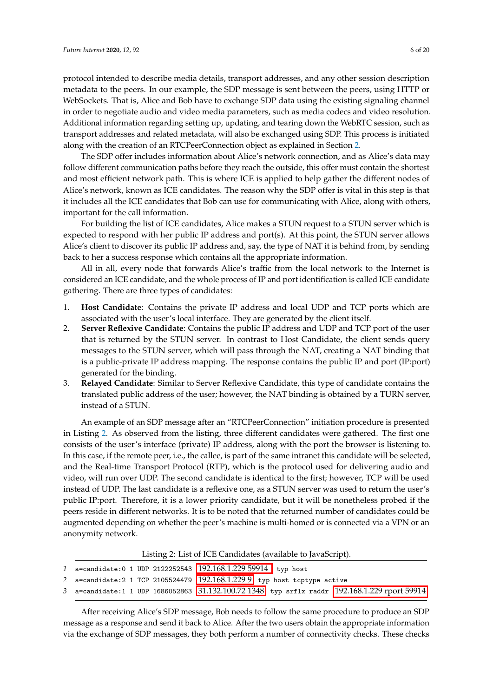protocol intended to describe media details, transport addresses, and any other session description metadata to the peers. In our example, the SDP message is sent between the peers, using HTTP or WebSockets. That is, Alice and Bob have to exchange SDP data using the existing signaling channel in order to negotiate audio and video media parameters, such as media codecs and video resolution. Additional information regarding setting up, updating, and tearing down the WebRTC session, such as transport addresses and related metadata, will also be exchanged using SDP. This process is initiated along with the creation of an RTCPeerConnection object as explained in Section [2.](#page-2-1)

The SDP offer includes information about Alice's network connection, and as Alice's data may follow different communication paths before they reach the outside, this offer must contain the shortest and most efficient network path. This is where ICE is applied to help gather the different nodes of Alice's network, known as ICE candidates. The reason why the SDP offer is vital in this step is that it includes all the ICE candidates that Bob can use for communicating with Alice, along with others, important for the call information.

For building the list of ICE candidates, Alice makes a STUN request to a STUN server which is expected to respond with her public IP address and port(s). At this point, the STUN server allows Alice's client to discover its public IP address and, say, the type of NAT it is behind from, by sending back to her a success response which contains all the appropriate information.

All in all, every node that forwards Alice's traffic from the local network to the Internet is considered an ICE candidate, and the whole process of IP and port identification is called ICE candidate gathering. There are three types of candidates:

- 1. **Host Candidate**: Contains the private IP address and local UDP and TCP ports which are associated with the user's local interface. They are generated by the client itself.
- 2. **Server Reflexive Candidate**: Contains the public IP address and UDP and TCP port of the user that is returned by the STUN server. In contrast to Host Candidate, the client sends query messages to the STUN server, which will pass through the NAT, creating a NAT binding that is a public-private IP address mapping. The response contains the public IP and port (IP:port) generated for the binding.
- 3. **Relayed Candidate**: Similar to Server Reflexive Candidate, this type of candidate contains the translated public address of the user; however, the NAT binding is obtained by a TURN server, instead of a STUN.

An example of an SDP message after an "RTCPeerConnection" initiation procedure is presented in Listing [2.](#page-5-0) As observed from the listing, three different candidates were gathered. The first one consists of the user's interface (private) IP address, along with the port the browser is listening to. In this case, if the remote peer, i.e., the callee, is part of the same intranet this candidate will be selected, and the Real-time Transport Protocol (RTP), which is the protocol used for delivering audio and video, will run over UDP. The second candidate is identical to the first; however, TCP will be used instead of UDP. The last candidate is a reflexive one, as a STUN server was used to return the user's public IP:port. Therefore, it is a lower priority candidate, but it will be nonetheless probed if the peers reside in different networks. It is to be noted that the returned number of candidates could be augmented depending on whether the peer's machine is multi-homed or is connected via a VPN or an anonymity network.

Listing 2: List of ICE Candidates (available to JavaScript).

<span id="page-5-0"></span>

| 1 a=candidate:0 1 UDP 2122252543 192.168.1.229 59914 typ host |                                                                                               |
|---------------------------------------------------------------|-----------------------------------------------------------------------------------------------|
|                                                               | 2 a=candidate: 2 1 TCP 2105524479 192.168.1.2299 typ host tcptype active                      |
|                                                               | 3 a=candidate:1 1 UDP 1686052863 31.132.100.72 1348 typ srflx raddr 192.168.1.229 rport 59914 |

After receiving Alice's SDP message, Bob needs to follow the same procedure to produce an SDP message as a response and send it back to Alice. After the two users obtain the appropriate information via the exchange of SDP messages, they both perform a number of connectivity checks. These checks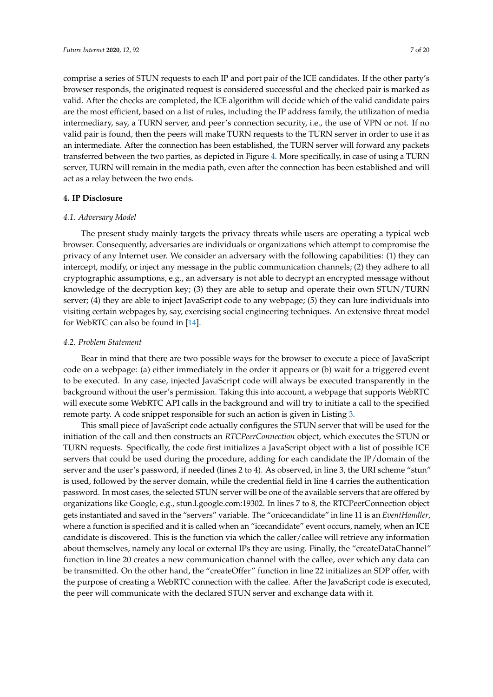comprise a series of STUN requests to each IP and port pair of the ICE candidates. If the other party's browser responds, the originated request is considered successful and the checked pair is marked as valid. After the checks are completed, the ICE algorithm will decide which of the valid candidate pairs are the most efficient, based on a list of rules, including the IP address family, the utilization of media intermediary, say, a TURN server, and peer's connection security, i.e., the use of VPN or not. If no valid pair is found, then the peers will make TURN requests to the TURN server in order to use it as an intermediate. After the connection has been established, the TURN server will forward any packets transferred between the two parties, as depicted in Figure [4.](#page-4-1) More specifically, in case of using a TURN server, TURN will remain in the media path, even after the connection has been established and will act as a relay between the two ends.

### <span id="page-6-0"></span>**4. IP Disclosure**

#### *4.1. Adversary Model*

The present study mainly targets the privacy threats while users are operating a typical web browser. Consequently, adversaries are individuals or organizations which attempt to compromise the privacy of any Internet user. We consider an adversary with the following capabilities: (1) they can intercept, modify, or inject any message in the public communication channels; (2) they adhere to all cryptographic assumptions, e.g., an adversary is not able to decrypt an encrypted message without knowledge of the decryption key; (3) they are able to setup and operate their own STUN/TURN server; (4) they are able to inject JavaScript code to any webpage; (5) they can lure individuals into visiting certain webpages by, say, exercising social engineering techniques. An extensive threat model for WebRTC can also be found in [\[14\]](#page-18-5).

#### *4.2. Problem Statement*

Bear in mind that there are two possible ways for the browser to execute a piece of JavaScript code on a webpage: (a) either immediately in the order it appears or (b) wait for a triggered event to be executed. In any case, injected JavaScript code will always be executed transparently in the background without the user's permission. Taking this into account, a webpage that supports WebRTC will execute some WebRTC API calls in the background and will try to initiate a call to the specified remote party. A code snippet responsible for such an action is given in Listing [3.](#page-7-0)

This small piece of JavaScript code actually configures the STUN server that will be used for the initiation of the call and then constructs an *RTCPeerConnection* object, which executes the STUN or TURN requests. Specifically, the code first initializes a JavaScript object with a list of possible ICE servers that could be used during the procedure, adding for each candidate the IP/domain of the server and the user's password, if needed (lines 2 to 4). As observed, in line 3, the URI scheme "stun" is used, followed by the server domain, while the credential field in line 4 carries the authentication password. In most cases, the selected STUN server will be one of the available servers that are offered by organizations like Google, e.g., stun.l.google.com:19302. In lines 7 to 8, the RTCPeerConnection object gets instantiated and saved in the "servers" variable. The "onicecandidate" in line 11 is an *EventHandler*, where a function is specified and it is called when an "icecandidate" event occurs, namely, when an ICE candidate is discovered. This is the function via which the caller/callee will retrieve any information about themselves, namely any local or external IPs they are using. Finally, the "createDataChannel" function in line 20 creates a new communication channel with the callee, over which any data can be transmitted. On the other hand, the "createOffer" function in line 22 initializes an SDP offer, with the purpose of creating a WebRTC connection with the callee. After the JavaScript code is executed, the peer will communicate with the declared STUN server and exchange data with it.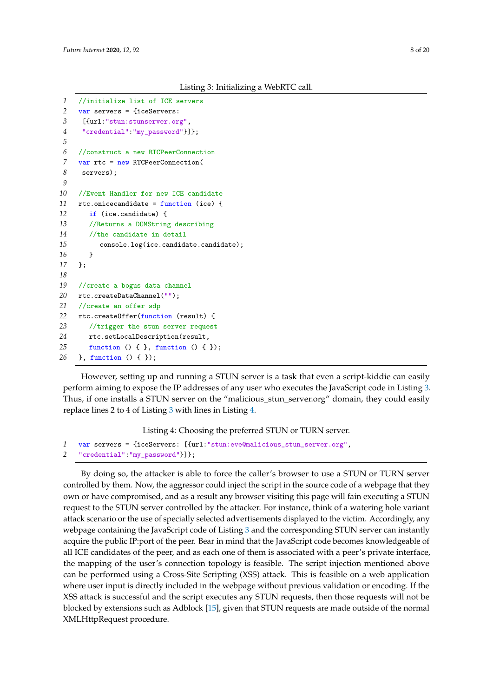Listing 3: Initializing a WebRTC call.

```
1 //initialize list of ICE servers
2 var servers = {iceServers:
3 [{url:"stun:stunserver.org",
4 "credential":"my_password"}]};
5
6 //construct a new RTCPeerConnection
7 var rtc = new RTCPeerConnection(
8 servers);
9
10 //Event Handler for new ICE candidate
11 rtc.onicecandidate = function (ice) {
12 if (ice.candidate) {
13 //Returns a DOMString describing
14 //the candidate in detail
15 console.log(ice.candidate.candidate);
16 }
17 };
18
19 //create a bogus data channel
20 rtc.createDataChannel("");
21 //create an offer sdp
22 rtc.createOffer(function (result) {
23 //trigger the stun server request
24 rtc.setLocalDescription(result,
25 function () { }, function () { });
26 }, function () { });
```
However, setting up and running a STUN server is a task that even a script-kiddie can easily perform aiming to expose the IP addresses of any user who executes the JavaScript code in Listing [3.](#page-7-0) Thus, if one installs a STUN server on the "malicious\_stun\_server.org" domain, they could easily replace lines 2 to 4 of Listing [3](#page-7-0) with lines in Listing [4.](#page-7-1)

Listing 4: Choosing the preferred STUN or TURN server.

```
1 var servers = {iceServers: [{url:"stun:eve@malicious_stun_server.org",
2 "credential":"my_password"}]};
```
By doing so, the attacker is able to force the caller's browser to use a STUN or TURN server controlled by them. Now, the aggressor could inject the script in the source code of a webpage that they own or have compromised, and as a result any browser visiting this page will fain executing a STUN request to the STUN server controlled by the attacker. For instance, think of a watering hole variant attack scenario or the use of specially selected advertisements displayed to the victim. Accordingly, any webpage containing the JavaScript code of Listing [3](#page-7-0) and the corresponding STUN server can instantly acquire the public IP:port of the peer. Bear in mind that the JavaScript code becomes knowledgeable of all ICE candidates of the peer, and as each one of them is associated with a peer's private interface, the mapping of the user's connection topology is feasible. The script injection mentioned above can be performed using a Cross-Site Scripting (XSS) attack. This is feasible on a web application where user input is directly included in the webpage without previous validation or encoding. If the XSS attack is successful and the script executes any STUN requests, then those requests will not be blocked by extensions such as Adblock [\[15\]](#page-18-6), given that STUN requests are made outside of the normal XMLHttpRequest procedure.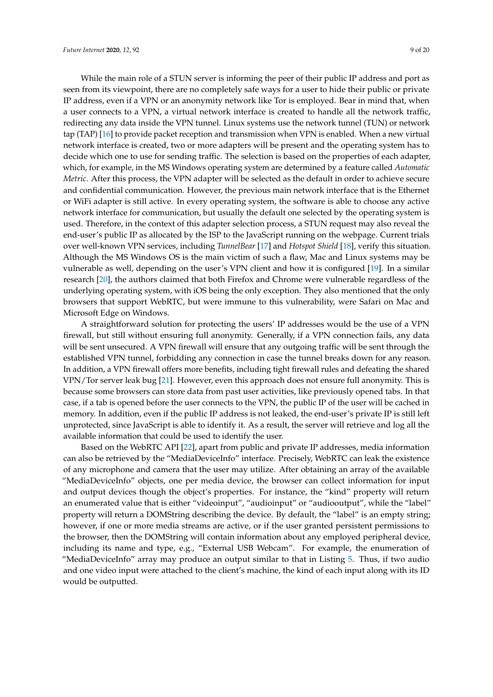While the main role of a STUN server is informing the peer of their public IP address and port as seen from its viewpoint, there are no completely safe ways for a user to hide their public or private IP address, even if a VPN or an anonymity network like Tor is employed. Bear in mind that, when a user connects to a VPN, a virtual network interface is created to handle all the network traffic, redirecting any data inside the VPN tunnel. Linux systems use the network tunnel (TUN) or network tap (TAP) [\[16\]](#page-18-7) to provide packet reception and transmission when VPN is enabled. When a new virtual network interface is created, two or more adapters will be present and the operating system has to decide which one to use for sending traffic. The selection is based on the properties of each adapter, which, for example, in the MS Windows operating system are determined by a feature called *Automatic Metric*. After this process, the VPN adapter will be selected as the default in order to achieve secure and confidential communication. However, the previous main network interface that is the Ethernet or WiFi adapter is still active. In every operating system, the software is able to choose any active network interface for communication, but usually the default one selected by the operating system is used. Therefore, in the context of this adapter selection process, a STUN request may also reveal the end-user's public IP as allocated by the ISP to the JavaScript running on the webpage. Current trials over well-known VPN services, including *TunnelBear* [\[17\]](#page-18-8) and *Hotspot Shield* [\[18\]](#page-18-9), verify this situation. Although the MS Windows OS is the main victim of such a flaw, Mac and Linux systems may be vulnerable as well, depending on the user's VPN client and how it is configured [\[19\]](#page-18-10). In a similar research [\[20\]](#page-18-11), the authors claimed that both Firefox and Chrome were vulnerable regardless of the underlying operating system, with iOS being the only exception. They also mentioned that the only browsers that support WebRTC, but were immune to this vulnerability, were Safari on Mac and Microsoft Edge on Windows.

A straightforward solution for protecting the users' IP addresses would be the use of a VPN firewall, but still without ensuring full anonymity. Generally, if a VPN connection fails, any data will be sent unsecured. A VPN firewall will ensure that any outgoing traffic will be sent through the established VPN tunnel, forbidding any connection in case the tunnel breaks down for any reason. In addition, a VPN firewall offers more benefits, including tight firewall rules and defeating the shared VPN/Tor server leak bug [\[21\]](#page-18-12). However, even this approach does not ensure full anonymity. This is because some browsers can store data from past user activities, like previously opened tabs. In that case, if a tab is opened before the user connects to the VPN, the public IP of the user will be cached in memory. In addition, even if the public IP address is not leaked, the end-user's private IP is still left unprotected, since JavaScript is able to identify it. As a result, the server will retrieve and log all the available information that could be used to identify the user.

Based on the WebRTC API [\[22\]](#page-18-13), apart from public and private IP addresses, media information can also be retrieved by the "MediaDeviceInfo" interface. Precisely, WebRTC can leak the existence of any microphone and camera that the user may utilize. After obtaining an array of the available "MediaDeviceInfo" objects, one per media device, the browser can collect information for input and output devices though the object's properties. For instance, the "kind" property will return an enumerated value that is either "videoinput", "audioinput" or "audiooutput", while the "label" property will return a DOMString describing the device. By default, the "label" is an empty string; however, if one or more media streams are active, or if the user granted persistent permissions to the browser, then the DOMString will contain information about any employed peripheral device, including its name and type, e.g., "External USB Webcam". For example, the enumeration of "MediaDeviceInfo" array may produce an output similar to that in Listing [5.](#page-9-1) Thus, if two audio and one video input were attached to the client's machine, the kind of each input along with its ID would be outputted.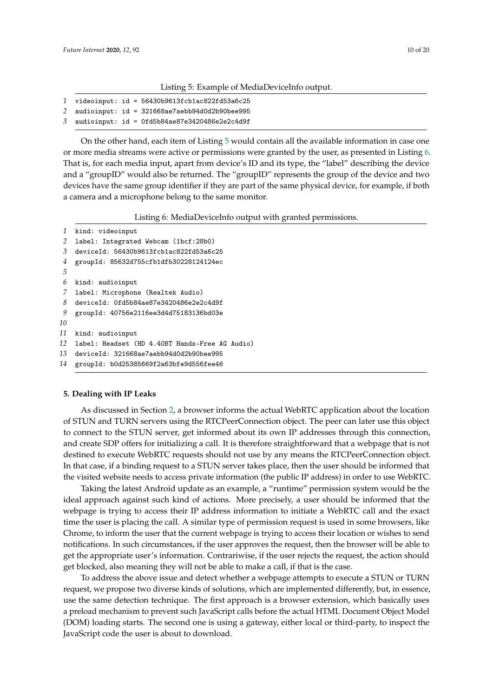#### Listing 5: Example of MediaDeviceInfo output.

<span id="page-9-1"></span>

|  |  |  |  | $1$ videoinput: id = 56430b9613fcb1ac822fd53a6c25 |
|--|--|--|--|---------------------------------------------------|
|--|--|--|--|---------------------------------------------------|

- *2* audioinput: id = 321668ae7aebb94d0d2b90bee995
- *3* audioinput: id = 0fd5b84ae87e3420486e2e2c4d9f

On the other hand, each item of Listing [5](#page-9-1) would contain all the available information in case one or more media streams were active or permissions were granted by the user, as presented in Listing [6.](#page-9-2) That is, for each media input, apart from device's ID and its type, the "label" describing the device and a "groupID" would also be returned. The "groupID" represents the group of the device and two devices have the same group identifier if they are part of the same physical device, for example, if both a camera and a microphone belong to the same monitor.

Listing 6: MediaDeviceInfo output with granted permissions.

```
1 kind: videoinput
2 label: Integrated Webcam (1bcf:28b0)
3 deviceId: 56430b9613fcb1ac822fd53a6c25
4 groupId: 85632d755cfb1dfb30228124124ec
5
6 kind: audioinput
7 label: Microphone (Realtek Audio)
8 deviceId: 0fd5b84ae87e3420486e2e2c4d9f
9 groupId: 40756e2116ee3d4d75183136bd03e
10
11 kind: audioinput
12 label: Headset (HD 4.40BT Hands-Free AG Audio)
13 deviceId: 321668ae7aebb94d0d2b90bee995
14 groupId: b0d25385669f2a63bfe9d556fee46
```
### <span id="page-9-0"></span>**5. Dealing with IP Leaks**

As discussed in Section [2,](#page-2-1) a browser informs the actual WebRTC application about the location of STUN and TURN servers using the RTCPeerConnection object. The peer can later use this object to connect to the STUN server, get informed about its own IP addresses through this connection, and create SDP offers for initializing a call. It is therefore straightforward that a webpage that is not destined to execute WebRTC requests should not use by any means the RTCPeerConnection object. In that case, if a binding request to a STUN server takes place, then the user should be informed that the visited website needs to access private information (the public IP address) in order to use WebRTC.

Taking the latest Android update as an example, a "runtime" permission system would be the ideal approach against such kind of actions. More precisely, a user should be informed that the webpage is trying to access their IP address information to initiate a WebRTC call and the exact time the user is placing the call. A similar type of permission request is used in some browsers, like Chrome, to inform the user that the current webpage is trying to access their location or wishes to send notifications. In such circumstances, if the user approves the request, then the browser will be able to get the appropriate user's information. Contrariwise, if the user rejects the request, the action should get blocked, also meaning they will not be able to make a call, if that is the case.

To address the above issue and detect whether a webpage attempts to execute a STUN or TURN request, we propose two diverse kinds of solutions, which are implemented differently, but, in essence, use the same detection technique. The first approach is a browser extension, which basically uses a preload mechanism to prevent such JavaScript calls before the actual HTML Document Object Model (DOM) loading starts. The second one is using a gateway, either local or third-party, to inspect the JavaScript code the user is about to download.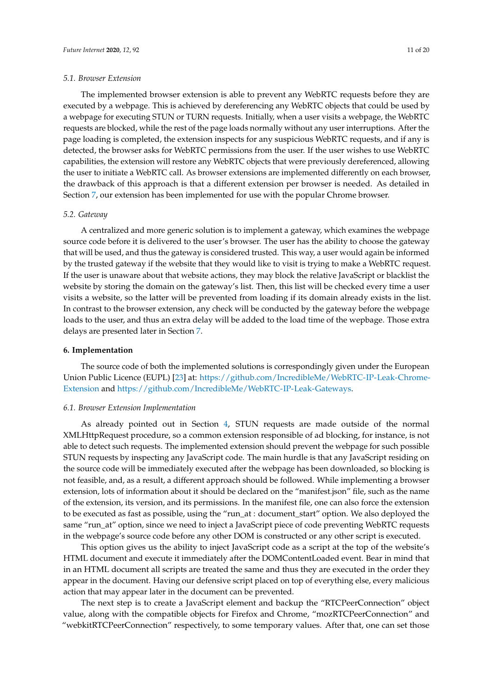#### *5.1. Browser Extension*

The implemented browser extension is able to prevent any WebRTC requests before they are executed by a webpage. This is achieved by dereferencing any WebRTC objects that could be used by a webpage for executing STUN or TURN requests. Initially, when a user visits a webpage, the WebRTC requests are blocked, while the rest of the page loads normally without any user interruptions. After the page loading is completed, the extension inspects for any suspicious WebRTC requests, and if any is detected, the browser asks for WebRTC permissions from the user. If the user wishes to use WebRTC capabilities, the extension will restore any WebRTC objects that were previously dereferenced, allowing the user to initiate a WebRTC call. As browser extensions are implemented differently on each browser, the drawback of this approach is that a different extension per browser is needed. As detailed in Section [7,](#page-12-0) our extension has been implemented for use with the popular Chrome browser.

#### *5.2. Gateway*

A centralized and more generic solution is to implement a gateway, which examines the webpage source code before it is delivered to the user's browser. The user has the ability to choose the gateway that will be used, and thus the gateway is considered trusted. This way, a user would again be informed by the trusted gateway if the website that they would like to visit is trying to make a WebRTC request. If the user is unaware about that website actions, they may block the relative JavaScript or blacklist the website by storing the domain on the gateway's list. Then, this list will be checked every time a user visits a website, so the latter will be prevented from loading if its domain already exists in the list. In contrast to the browser extension, any check will be conducted by the gateway before the webpage loads to the user, and thus an extra delay will be added to the load time of the wepbage. Those extra delays are presented later in Section [7.](#page-12-0)

## <span id="page-10-0"></span>**6. Implementation**

The source code of both the implemented solutions is correspondingly given under the European Union Public Licence (EUPL) [\[23\]](#page-18-14) at: [https://github.com/IncredibleMe/WebRTC-IP-Leak-Chrome-](https://github.com/IncredibleMe/WebRTC-IP-Leak-Chrome-Extension)[Extension](https://github.com/IncredibleMe/WebRTC-IP-Leak-Chrome-Extension) and [https://github.com/IncredibleMe/WebRTC-IP-Leak-Gateways.](https://github.com/IncredibleMe/WebRTC-IP-Leak-Gateways)

#### *6.1. Browser Extension Implementation*

As already pointed out in Section [4,](#page-6-0) STUN requests are made outside of the normal XMLHttpRequest procedure, so a common extension responsible of ad blocking, for instance, is not able to detect such requests. The implemented extension should prevent the webpage for such possible STUN requests by inspecting any JavaScript code. The main hurdle is that any JavaScript residing on the source code will be immediately executed after the webpage has been downloaded, so blocking is not feasible, and, as a result, a different approach should be followed. While implementing a browser extension, lots of information about it should be declared on the "manifest.json" file, such as the name of the extension, its version, and its permissions. In the manifest file, one can also force the extension to be executed as fast as possible, using the "run\_at : document\_start" option. We also deployed the same "run\_at" option, since we need to inject a JavaScript piece of code preventing WebRTC requests in the webpage's source code before any other DOM is constructed or any other script is executed.

This option gives us the ability to inject JavaScript code as a script at the top of the website's HTML document and execute it immediately after the DOMContentLoaded event. Bear in mind that in an HTML document all scripts are treated the same and thus they are executed in the order they appear in the document. Having our defensive script placed on top of everything else, every malicious action that may appear later in the document can be prevented.

The next step is to create a JavaScript element and backup the "RTCPeerConnection" object value, along with the compatible objects for Firefox and Chrome, "mozRTCPeerConnection" and "webkitRTCPeerConnection" respectively, to some temporary values. After that, one can set those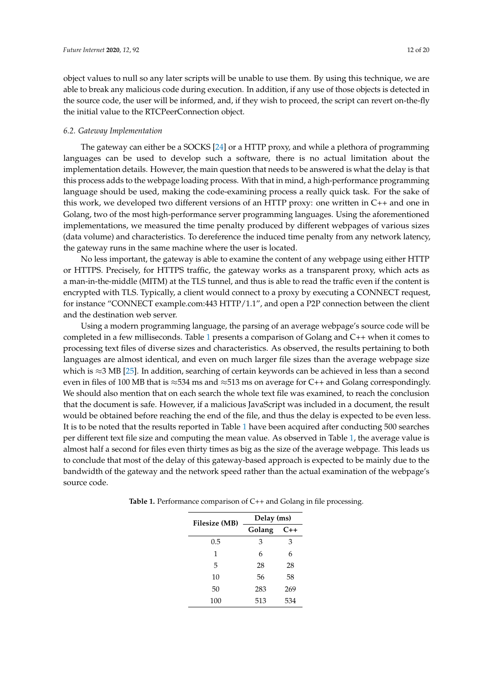object values to null so any later scripts will be unable to use them. By using this technique, we are able to break any malicious code during execution. In addition, if any use of those objects is detected in the source code, the user will be informed, and, if they wish to proceed, the script can revert on-the-fly the initial value to the RTCPeerConnection object.

### *6.2. Gateway Implementation*

The gateway can either be a SOCKS [\[24\]](#page-18-15) or a HTTP proxy, and while a plethora of programming languages can be used to develop such a software, there is no actual limitation about the implementation details. However, the main question that needs to be answered is what the delay is that this process adds to the webpage loading process. With that in mind, a high-performance programming language should be used, making the code-examining process a really quick task. For the sake of this work, we developed two different versions of an HTTP proxy: one written in C++ and one in Golang, two of the most high-performance server programming languages. Using the aforementioned implementations, we measured the time penalty produced by different webpages of various sizes (data volume) and characteristics. To dereference the induced time penalty from any network latency, the gateway runs in the same machine where the user is located.

No less important, the gateway is able to examine the content of any webpage using either HTTP or HTTPS. Precisely, for HTTPS traffic, the gateway works as a transparent proxy, which acts as a man-in-the-middle (MITM) at the TLS tunnel, and thus is able to read the traffic even if the content is encrypted with TLS. Typically, a client would connect to a proxy by executing a CONNECT request, for instance "CONNECT example.com:443 HTTP/1.1", and open a P2P connection between the client and the destination web server.

Using a modern programming language, the parsing of an average webpage's source code will be completed in a few milliseconds. Table [1](#page-11-0) presents a comparison of Golang and C++ when it comes to processing text files of diverse sizes and characteristics. As observed, the results pertaining to both languages are almost identical, and even on much larger file sizes than the average webpage size which is ≈3 MB [\[25\]](#page-18-16). In addition, searching of certain keywords can be achieved in less than a second even in files of 100 MB that is  $\approx$  534 ms and  $\approx$  513 ms on average for C++ and Golang correspondingly. We should also mention that on each search the whole text file was examined, to reach the conclusion that the document is safe. However, if a malicious JavaScript was included in a document, the result would be obtained before reaching the end of the file, and thus the delay is expected to be even less. It is to be noted that the results reported in Table [1](#page-11-0) have been acquired after conducting 500 searches per different text file size and computing the mean value. As observed in Table [1,](#page-11-0) the average value is almost half a second for files even thirty times as big as the size of the average webpage. This leads us to conclude that most of the delay of this gateway-based approach is expected to be mainly due to the bandwidth of the gateway and the network speed rather than the actual examination of the webpage's source code.

| <b>Filesize</b> (MB) | Delay (ms) |       |  |  |
|----------------------|------------|-------|--|--|
|                      | Golang     | $C++$ |  |  |
| 0.5                  | 3          | 3     |  |  |
| 1                    | 6          | 6     |  |  |
| 5                    | 28         | 28    |  |  |
| 10                   | 56         | 58    |  |  |
| 50                   | 283        | 269   |  |  |
| 100                  | 513        | 534   |  |  |

<span id="page-11-0"></span>**Table 1.** Performance comparison of C++ and Golang in file processing.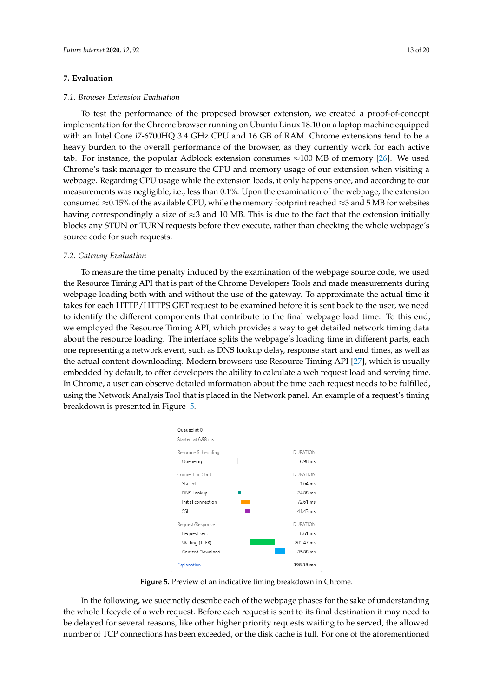### <span id="page-12-0"></span>**7. Evaluation**

#### *7.1. Browser Extension Evaluation*

To test the performance of the proposed browser extension, we created a proof-of-concept implementation for the Chrome browser running on Ubuntu Linux 18.10 on a laptop machine equipped with an Intel Core i7-6700HQ 3.4 GHz CPU and 16 GB of RAM. Chrome extensions tend to be a heavy burden to the overall performance of the browser, as they currently work for each active tab. For instance, the popular Adblock extension consumes  $\approx$ 100 MB of memory [\[26\]](#page-18-17). We used Chrome's task manager to measure the CPU and memory usage of our extension when visiting a webpage. Regarding CPU usage while the extension loads, it only happens once, and according to our measurements was negligible, i.e., less than 0.1%. Upon the examination of the webpage, the extension consumed ≈0.15% of the available CPU, while the memory footprint reached ≈3 and 5 MB for websites having correspondingly a size of  $\approx$ 3 and 10 MB. This is due to the fact that the extension initially blocks any STUN or TURN requests before they execute, rather than checking the whole webpage's source code for such requests.

#### *7.2. Gateway Evaluation*

To measure the time penalty induced by the examination of the webpage source code, we used the Resource Timing API that is part of the Chrome Developers Tools and made measurements during webpage loading both with and without the use of the gateway. To approximate the actual time it takes for each HTTP/HTTPS GET request to be examined before it is sent back to the user, we need to identify the different components that contribute to the final webpage load time. To this end, we employed the Resource Timing API, which provides a way to get detailed network timing data about the resource loading. The interface splits the webpage's loading time in different parts, each one representing a network event, such as DNS lookup delay, response start and end times, as well as the actual content downloading. Modern browsers use Resource Timing API [\[27\]](#page-18-18), which is usually embedded by default, to offer developers the ability to calculate a web request load and serving time. In Chrome, a user can observe detailed information about the time each request needs to be fulfilled, using the Network Analysis Tool that is placed in the Network panel. An example of a request's timing breakdown is presented in Figure [5.](#page-12-1)

<span id="page-12-1"></span>

**Figure 5.** Preview of an indicative timing breakdown in Chrome.

In the following, we succinctly describe each of the webpage phases for the sake of understanding the whole lifecycle of a web request. Before each request is sent to its final destination it may need to be delayed for several reasons, like other higher priority requests waiting to be served, the allowed number of TCP connections has been exceeded, or the disk cache is full. For one of the aforementioned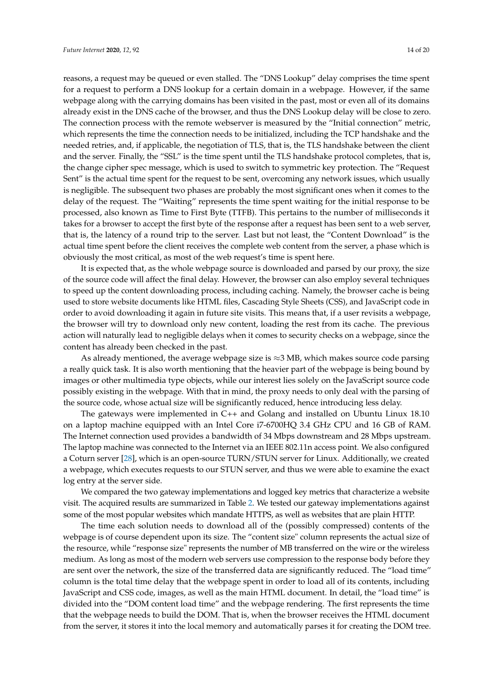reasons, a request may be queued or even stalled. The "DNS Lookup" delay comprises the time spent for a request to perform a DNS lookup for a certain domain in a webpage. However, if the same webpage along with the carrying domains has been visited in the past, most or even all of its domains already exist in the DNS cache of the browser, and thus the DNS Lookup delay will be close to zero. The connection process with the remote webserver is measured by the "Initial connection" metric, which represents the time the connection needs to be initialized, including the TCP handshake and the needed retries, and, if applicable, the negotiation of TLS, that is, the TLS handshake between the client and the server. Finally, the "SSL" is the time spent until the TLS handshake protocol completes, that is, the change cipher spec message, which is used to switch to symmetric key protection. The "Request Sent" is the actual time spent for the request to be sent, overcoming any network issues, which usually is negligible. The subsequent two phases are probably the most significant ones when it comes to the delay of the request. The "Waiting" represents the time spent waiting for the initial response to be processed, also known as Time to First Byte (TTFB). This pertains to the number of milliseconds it takes for a browser to accept the first byte of the response after a request has been sent to a web server, that is, the latency of a round trip to the server. Last but not least, the "Content Download" is the actual time spent before the client receives the complete web content from the server, a phase which is obviously the most critical, as most of the web request's time is spent here.

It is expected that, as the whole webpage source is downloaded and parsed by our proxy, the size of the source code will affect the final delay. However, the browser can also employ several techniques to speed up the content downloading process, including caching. Namely, the browser cache is being used to store website documents like HTML files, Cascading Style Sheets (CSS), and JavaScript code in order to avoid downloading it again in future site visits. This means that, if a user revisits a webpage, the browser will try to download only new content, loading the rest from its cache. The previous action will naturally lead to negligible delays when it comes to security checks on a webpage, since the content has already been checked in the past.

As already mentioned, the average webpage size is  $\approx$ 3 MB, which makes source code parsing a really quick task. It is also worth mentioning that the heavier part of the webpage is being bound by images or other multimedia type objects, while our interest lies solely on the JavaScript source code possibly existing in the webpage. With that in mind, the proxy needs to only deal with the parsing of the source code, whose actual size will be significantly reduced, hence introducing less delay.

The gateways were implemented in C++ and Golang and installed on Ubuntu Linux 18.10 on a laptop machine equipped with an Intel Core i7-6700HQ 3.4 GHz CPU and 16 GB of RAM. The Internet connection used provides a bandwidth of 34 Mbps downstream and 28 Mbps upstream. The laptop machine was connected to the Internet via an IEEE 802.11n access point. We also configured a Coturn server [\[28\]](#page-18-19), which is an open-source TURN/STUN server for Linux. Additionally, we created a webpage, which executes requests to our STUN server, and thus we were able to examine the exact log entry at the server side.

We compared the two gateway implementations and logged key metrics that characterize a website visit. The acquired results are summarized in Table [2.](#page-14-0) We tested our gateway implementations against some of the most popular websites which mandate HTTPS, as well as websites that are plain HTTP.

The time each solution needs to download all of the (possibly compressed) contents of the webpage is of course dependent upon its size. The "content size" column represents the actual size of the resource, while "response size" represents the number of MB transferred on the wire or the wireless medium. As long as most of the modern web servers use compression to the response body before they are sent over the network, the size of the transferred data are significantly reduced. The "load time" column is the total time delay that the webpage spent in order to load all of its contents, including JavaScript and CSS code, images, as well as the main HTML document. In detail, the "load time" is divided into the "DOM content load time" and the webpage rendering. The first represents the time that the webpage needs to build the DOM. That is, when the browser receives the HTML document from the server, it stores it into the local memory and automatically parses it for creating the DOM tree.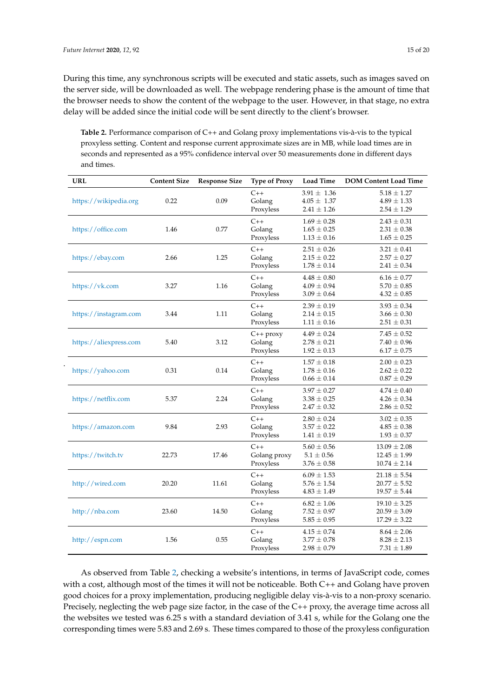During this time, any synchronous scripts will be executed and static assets, such as images saved on the server side, will be downloaded as well. The webpage rendering phase is the amount of time that the browser needs to show the content of the webpage to the user. However, in that stage, no extra delay will be added since the initial code will be sent directly to the client's browser.

<span id="page-14-0"></span>**Table 2.** Performance comparison of C++ and Golang proxy implementations vis-à-vis to the typical proxyless setting. Content and response current approximate sizes are in MB, while load times are in seconds and represented as a 95% confidence interval over 50 measurements done in different days and times.

| <b>URL</b>             | <b>Content Size</b> | <b>Response Size</b> |                                    | <b>Load Time</b>                                      | <b>DOM Content Load Time</b>                             |
|------------------------|---------------------|----------------------|------------------------------------|-------------------------------------------------------|----------------------------------------------------------|
| https://wikipedia.org  | 0.22                | 0.09                 | $C++$<br>Golang<br>Proxyless       | $3.91 \pm 1.36$<br>$4.05 \pm 1.37$<br>$2.41 \pm 1.26$ | $5.18 \pm 1.27$<br>$4.89 \pm 1.33$<br>$2.54 \pm 1.29$    |
| https://office.com     | 1.46                | 0.77                 | $C++$<br>Golang<br>Proxyless       | $1.69 \pm 0.28$<br>$1.65 \pm 0.25$<br>$1.13 \pm 0.16$ | $2.43 \pm 0.31$<br>$2.31 \pm 0.38$<br>$1.65 \pm 0.25$    |
| https://ebay.com       | 2.66                | 1.25                 | $C++$<br>Golang<br>Proxyless       | $2.51 \pm 0.26$<br>$2.15 \pm 0.22$<br>$1.78 \pm 0.14$ | $3.21 \pm 0.41$<br>$2.57 \pm 0.27$<br>$2.41 \pm 0.34$    |
| https://vk.com         | 3.27                | 1.16                 | $C++$<br>Golang<br>Proxyless       | $4.48\pm0.80$<br>$4.09 \pm 0.94$<br>$3.09 \pm 0.64$   | $6.16 \pm 0.77$<br>$5.70 \pm 0.85$<br>$4.32 \pm 0.85$    |
| https://instagram.com  | 3.44                | 1.11                 | $C++$<br>Golang<br>Proxyless       | $2.39 \pm 0.19$<br>$2.14 \pm 0.15$<br>$1.11 \pm 0.16$ | $3.93 \pm 0.34$<br>$3.66 \pm 0.30$<br>$2.51 \pm 0.31$    |
| https://aliexpress.com | 5.40                | 3.12                 | $C++$ proxy<br>Golang<br>Proxyless | $4.49 \pm 0.24$<br>$2.78 \pm 0.21$<br>$1.92 \pm 0.13$ | $7.45 \pm 0.52$<br>$7.40 \pm 0.96$<br>$6.17 \pm 0.75$    |
| https://yahoo.com      | 0.31                | 0.14                 | $C++$<br>Golang<br>Proxyless       | $1.57\pm0.18$<br>$1.78 \pm 0.16$<br>$0.66 \pm 0.14$   | $2.00 \pm 0.23$<br>$2.62 \pm 0.22$<br>$0.87 \pm 0.29$    |
| https://netflix.com    | 5.37                | 2.24                 | $C++$<br>Golang<br>Proxyless       | $3.97 \pm 0.27$<br>$3.38 \pm 0.25$<br>$2.47\pm0.32$   | $4.74 \pm 0.40$<br>$4.26 \pm 0.34$<br>$2.86\pm0.52$      |
| https://amazon.com     | 9.84                | 2.93                 | $C++$<br>Golang<br>Proxyless       | $2.80 \pm 0.24$<br>$3.57 \pm 0.22$<br>$1.41 \pm 0.19$ | $3.02 \pm 0.35$<br>$4.85 \pm 0.38$<br>$1.93 \pm 0.37$    |
| https://twitch.tv      | 22.73               | 17.46                | $C++$<br>Golang proxy<br>Proxyless | $5.60 \pm 0.56$<br>$5.1 \pm 0.56$<br>$3.76 \pm 0.58$  | $13.09 \pm 2.08$<br>$12.45 \pm 1.99$<br>$10.74 \pm 2.14$ |
| http://wired.com       | 20.20               | 11.61                | $C++$<br>Golang<br>Proxyless       | $6.09 \pm 1.53$<br>$5.76 \pm 1.54$<br>$4.83 \pm 1.49$ | $21.18 \pm 5.54$<br>$20.77 \pm 5.52$<br>$19.57\pm5.44$   |
| http://nba.com         | 23.60               | 14.50                | $C++$<br>Golang<br>Proxyless       | $6.82 \pm 1.06$<br>$7.52 \pm 0.97$<br>$5.85 \pm 0.95$ | $19.10 \pm 3.25$<br>$20.59 \pm 3.09$<br>$17.29 \pm 3.22$ |
| http://espn.com        | 1.56                |                      | $C++$<br>Golang<br>Proxyless       | $4.15 \pm 0.74$<br>$3.77 \pm 0.78$<br>$2.98 \pm 0.79$ | $8.64 \pm 2.06$<br>$8.28 \pm 2.13$<br>$7.31 \pm 1.89$    |

As observed from Table [2,](#page-14-0) checking a website's intentions, in terms of JavaScript code, comes with a cost, although most of the times it will not be noticeable. Both C++ and Golang have proven good choices for a proxy implementation, producing negligible delay vis-à-vis to a non-proxy scenario. Precisely, neglecting the web page size factor, in the case of the C++ proxy, the average time across all the websites we tested was 6.25 s with a standard deviation of 3.41 s, while for the Golang one the corresponding times were 5.83 and 2.69 s. These times compared to those of the proxyless configuration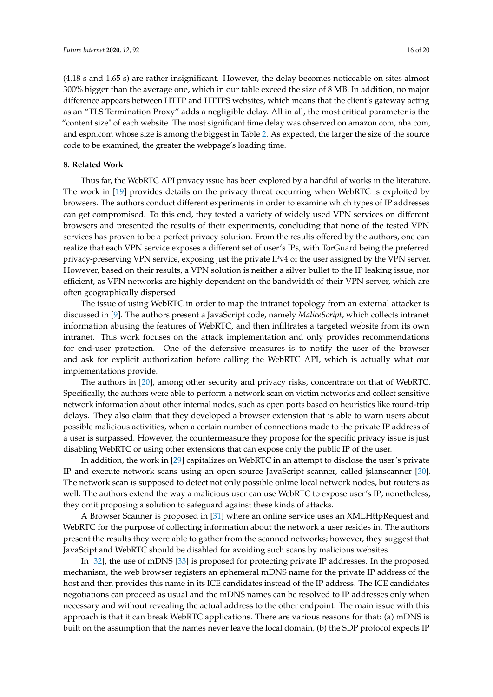(4.18 s and 1.65 s) are rather insignificant. However, the delay becomes noticeable on sites almost 300% bigger than the average one, which in our table exceed the size of 8 MB. In addition, no major difference appears between HTTP and HTTPS websites, which means that the client's gateway acting as an "TLS Termination Proxy" adds a negligible delay. All in all, the most critical parameter is the "content size" of each website. The most significant time delay was observed on amazon.com, nba.com, and espn.com whose size is among the biggest in Table [2.](#page-14-0) As expected, the larger the size of the source code to be examined, the greater the webpage's loading time.

#### <span id="page-15-0"></span>**8. Related Work**

Thus far, the WebRTC API privacy issue has been explored by a handful of works in the literature. The work in [\[19\]](#page-18-10) provides details on the privacy threat occurring when WebRTC is exploited by browsers. The authors conduct different experiments in order to examine which types of IP addresses can get compromised. To this end, they tested a variety of widely used VPN services on different browsers and presented the results of their experiments, concluding that none of the tested VPN services has proven to be a perfect privacy solution. From the results offered by the authors, one can realize that each VPN service exposes a different set of user's IPs, with TorGuard being the preferred privacy-preserving VPN service, exposing just the private IPv4 of the user assigned by the VPN server. However, based on their results, a VPN solution is neither a silver bullet to the IP leaking issue, nor efficient, as VPN networks are highly dependent on the bandwidth of their VPN server, which are often geographically dispersed.

The issue of using WebRTC in order to map the intranet topology from an external attacker is discussed in [\[9\]](#page-18-0). The authors present a JavaScript code, namely *MaliceScript*, which collects intranet information abusing the features of WebRTC, and then infiltrates a targeted website from its own intranet. This work focuses on the attack implementation and only provides recommendations for end-user protection. One of the defensive measures is to notify the user of the browser and ask for explicit authorization before calling the WebRTC API, which is actually what our implementations provide.

The authors in [\[20\]](#page-18-11), among other security and privacy risks, concentrate on that of WebRTC. Specifically, the authors were able to perform a network scan on victim networks and collect sensitive network information about other internal nodes, such as open ports based on heuristics like round-trip delays. They also claim that they developed a browser extension that is able to warn users about possible malicious activities, when a certain number of connections made to the private IP address of a user is surpassed. However, the countermeasure they propose for the specific privacy issue is just disabling WebRTC or using other extensions that can expose only the public IP of the user.

In addition, the work in [\[29\]](#page-18-20) capitalizes on WebRTC in an attempt to disclose the user's private IP and execute network scans using an open source JavaScript scanner, called jslanscanner [\[30\]](#page-18-21). The network scan is supposed to detect not only possible online local network nodes, but routers as well. The authors extend the way a malicious user can use WebRTC to expose user's IP; nonetheless, they omit proposing a solution to safeguard against these kinds of attacks.

A Browser Scanner is proposed in [\[31\]](#page-18-22) where an online service uses an XMLHttpRequest and WebRTC for the purpose of collecting information about the network a user resides in. The authors present the results they were able to gather from the scanned networks; however, they suggest that JavaScipt and WebRTC should be disabled for avoiding such scans by malicious websites.

In [\[32\]](#page-18-23), the use of mDNS [\[33\]](#page-18-24) is proposed for protecting private IP addresses. In the proposed mechanism, the web browser registers an ephemeral mDNS name for the private IP address of the host and then provides this name in its ICE candidates instead of the IP address. The ICE candidates negotiations can proceed as usual and the mDNS names can be resolved to IP addresses only when necessary and without revealing the actual address to the other endpoint. The main issue with this approach is that it can break WebRTC applications. There are various reasons for that: (a) mDNS is built on the assumption that the names never leave the local domain, (b) the SDP protocol expects IP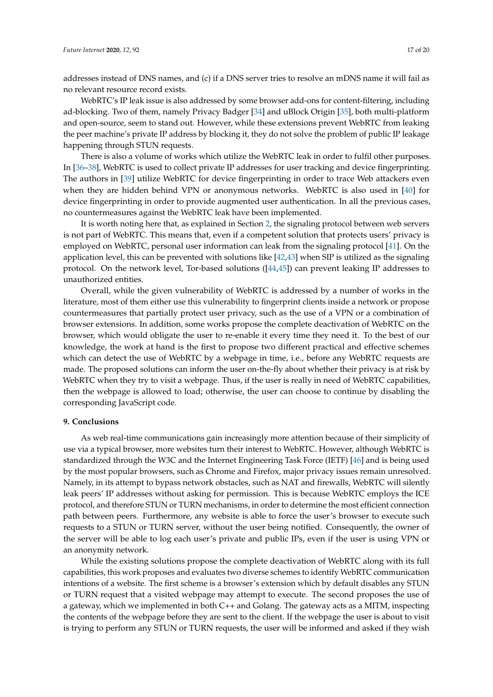addresses instead of DNS names, and (c) if a DNS server tries to resolve an mDNS name it will fail as no relevant resource record exists.

WebRTC's IP leak issue is also addressed by some browser add-ons for content-filtering, including ad-blocking. Two of them, namely Privacy Badger [\[34\]](#page-18-25) and uBlock Origin [\[35\]](#page-18-26), both multi-platform and open-source, seem to stand out. However, while these extensions prevent WebRTC from leaking the peer machine's private IP address by blocking it, they do not solve the problem of public IP leakage happening through STUN requests.

There is also a volume of works which utilize the WebRTC leak in order to fulfil other purposes. In [\[36](#page-19-0)[–38\]](#page-19-1), WebRTC is used to collect private IP addresses for user tracking and device fingerprinting. The authors in [\[39\]](#page-19-2) utilize WebRTC for device fingerprinting in order to trace Web attackers even when they are hidden behind VPN or anonymous networks. WebRTC is also used in [\[40\]](#page-19-3) for device fingerprinting in order to provide augmented user authentication. In all the previous cases, no countermeasures against the WebRTC leak have been implemented.

It is worth noting here that, as explained in Section [2,](#page-2-1) the signaling protocol between web servers is not part of WebRTC. This means that, even if a competent solution that protects users' privacy is employed on WebRTC, personal user information can leak from the signaling protocol [\[41\]](#page-19-4). On the application level, this can be prevented with solutions like [\[42,](#page-19-5)[43\]](#page-19-6) when SIP is utilized as the signaling protocol. On the network level, Tor-based solutions ([\[44,](#page-19-7)[45\]](#page-19-8)) can prevent leaking IP addresses to unauthorized entities.

Overall, while the given vulnerability of WebRTC is addressed by a number of works in the literature, most of them either use this vulnerability to fingerprint clients inside a network or propose countermeasures that partially protect user privacy, such as the use of a VPN or a combination of browser extensions. In addition, some works propose the complete deactivation of WebRTC on the browser, which would obligate the user to re-enable it every time they need it. To the best of our knowledge, the work at hand is the first to propose two different practical and effective schemes which can detect the use of WebRTC by a webpage in time, i.e., before any WebRTC requests are made. The proposed solutions can inform the user on-the-fly about whether their privacy is at risk by WebRTC when they try to visit a webpage. Thus, if the user is really in need of WebRTC capabilities, then the webpage is allowed to load; otherwise, the user can choose to continue by disabling the corresponding JavaScript code.

### **9. Conclusions**

As web real-time communications gain increasingly more attention because of their simplicity of use via a typical browser, more websites turn their interest to WebRTC. However, although WebRTC is standardized through the W3C and the Internet Engineering Task Force (IETF) [\[46\]](#page-19-9) and is being used by the most popular browsers, such as Chrome and Firefox, major privacy issues remain unresolved. Namely, in its attempt to bypass network obstacles, such as NAT and firewalls, WebRTC will silently leak peers' IP addresses without asking for permission. This is because WebRTC employs the ICE protocol, and therefore STUN or TURN mechanisms, in order to determine the most efficient connection path between peers. Furthermore, any website is able to force the user's browser to execute such requests to a STUN or TURN server, without the user being notified. Consequently, the owner of the server will be able to log each user's private and public IPs, even if the user is using VPN or an anonymity network.

While the existing solutions propose the complete deactivation of WebRTC along with its full capabilities, this work proposes and evaluates two diverse schemes to identify WebRTC communication intentions of a website. The first scheme is a browser's extension which by default disables any STUN or TURN request that a visited webpage may attempt to execute. The second proposes the use of a gateway, which we implemented in both C++ and Golang. The gateway acts as a MITM, inspecting the contents of the webpage before they are sent to the client. If the webpage the user is about to visit is trying to perform any STUN or TURN requests, the user will be informed and asked if they wish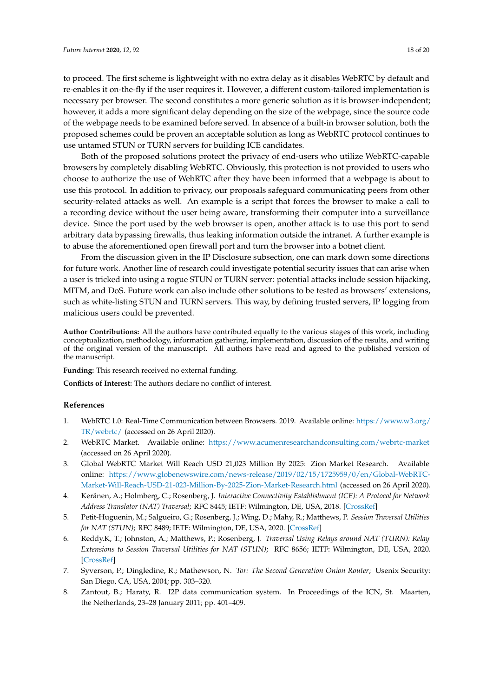use untamed STUN or TURN servers for building ICE candidates. Both of the proposed solutions protect the privacy of end-users who utilize WebRTC-capable browsers by completely disabling WebRTC. Obviously, this protection is not provided to users who choose to authorize the use of WebRTC after they have been informed that a webpage is about to use this protocol. In addition to privacy, our proposals safeguard communicating peers from other security-related attacks as well. An example is a script that forces the browser to make a call to a recording device without the user being aware, transforming their computer into a surveillance device. Since the port used by the web browser is open, another attack is to use this port to send arbitrary data bypassing firewalls, thus leaking information outside the intranet. A further example is to abuse the aforementioned open firewall port and turn the browser into a botnet client.

proposed schemes could be proven an acceptable solution as long as WebRTC protocol continues to

From the discussion given in the IP Disclosure subsection, one can mark down some directions for future work. Another line of research could investigate potential security issues that can arise when a user is tricked into using a rogue STUN or TURN server: potential attacks include session hijacking, MITM, and DoS. Future work can also include other solutions to be tested as browsers' extensions, such as white-listing STUN and TURN servers. This way, by defining trusted servers, IP logging from malicious users could be prevented.

**Author Contributions:** All the authors have contributed equally to the various stages of this work, including conceptualization, methodology, information gathering, implementation, discussion of the results, and writing of the original version of the manuscript. All authors have read and agreed to the published version of the manuscript.

**Funding:** This research received no external funding.

**Conflicts of Interest:** The authors declare no conflict of interest.

## **References**

- <span id="page-17-0"></span>1. WebRTC 1.0: Real-Time Communication between Browsers. 2019. Available online: [https://www.w3.org/](https://www.w3.org/TR/webrtc/) [TR/webrtc/](https://www.w3.org/TR/webrtc/) (accessed on 26 April 2020).
- <span id="page-17-1"></span>2. WebRTC Market. Available online: <https://www.acumenresearchandconsulting.com/webrtc-market> (accessed on 26 April 2020).
- <span id="page-17-2"></span>3. Global WebRTC Market Will Reach USD 21,023 Million By 2025: Zion Market Research. Available online: [https://www.globenewswire.com/news-release/2019/02/15/1725959/0/en/Global-WebRTC-](https://www.globenewswire.com/news-release/2019/02/15/1725959/0/en/Global-WebRTC-Market-Will-Reach-USD-21-023-Million-By-2025-Zion-Market-Research.html)[Market-Will-Reach-USD-21-023-Million-By-2025-Zion-Market-Research.html](https://www.globenewswire.com/news-release/2019/02/15/1725959/0/en/Global-WebRTC-Market-Will-Reach-USD-21-023-Million-By-2025-Zion-Market-Research.html) (accessed on 26 April 2020).
- <span id="page-17-3"></span>4. Keränen, A.; Holmberg, C.; Rosenberg, J. *Interactive Connectivity Establishment (ICE): A Protocol for Network Address Translator (NAT) Traversal*; RFC 8445; IETF: Wilmington, DE, USA, 2018. [\[CrossRef\]](http://dx.doi.org/10.17487/RFC8445)
- <span id="page-17-4"></span>5. Petit-Huguenin, M.; Salgueiro, G.; Rosenberg, J.; Wing, D.; Mahy, R.; Matthews, P. *Session Traversal Utilities for NAT (STUN)*; RFC 8489; IETF: Wilmington, DE, USA, 2020. [\[CrossRef\]](http://dx.doi.org/10.17487/RFC8489)
- <span id="page-17-5"></span>6. Reddy.K, T.; Johnston, A.; Matthews, P.; Rosenberg, J. *Traversal Using Relays around NAT (TURN): Relay Extensions to Session Traversal Utilities for NAT (STUN)*; RFC 8656; IETF: Wilmington, DE, USA, 2020. [\[CrossRef\]](http://dx.doi.org/10.17487/RFC8656)
- <span id="page-17-6"></span>7. Syverson, P.; Dingledine, R.; Mathewson, N. *Tor: The Second Generation Onion Router*; Usenix Security: San Diego, CA, USA, 2004; pp. 303–320.
- <span id="page-17-7"></span>8. Zantout, B.; Haraty, R. I2P data communication system. In Proceedings of the ICN, St. Maarten, the Netherlands, 23–28 January 2011; pp. 401–409.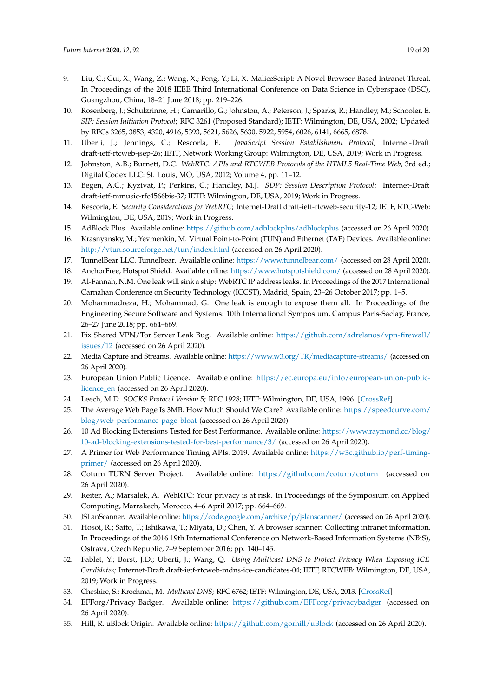- <span id="page-18-0"></span>9. Liu, C.; Cui, X.; Wang, Z.; Wang, X.; Feng, Y.; Li, X. MaliceScript: A Novel Browser-Based Intranet Threat. In Proceedings of the 2018 IEEE Third International Conference on Data Science in Cyberspace (DSC), Guangzhou, China, 18–21 June 2018; pp. 219–226.
- <span id="page-18-1"></span>10. Rosenberg, J.; Schulzrinne, H.; Camarillo, G.; Johnston, A.; Peterson, J.; Sparks, R.; Handley, M.; Schooler, E. *SIP: Session Initiation Protocol*; RFC 3261 (Proposed Standard); IETF: Wilmington, DE, USA, 2002; Updated by RFCs 3265, 3853, 4320, 4916, 5393, 5621, 5626, 5630, 5922, 5954, 6026, 6141, 6665, 6878.
- <span id="page-18-2"></span>11. Uberti, J.; Jennings, C.; Rescorla, E. *JavaScript Session Establishment Protocol*; Internet-Draft draft-ietf-rtcweb-jsep-26; IETF, Network Working Group: Wilmington, DE, USA, 2019; Work in Progress.
- <span id="page-18-3"></span>12. Johnston, A.B.; Burnett, D.C. *WebRTC: APIs and RTCWEB Protocols of the HTML5 Real-Time Web*, 3rd ed.; Digital Codex LLC: St. Louis, MO, USA, 2012; Volume 4, pp. 11–12.
- <span id="page-18-4"></span>13. Begen, A.C.; Kyzivat, P.; Perkins, C.; Handley, M.J. *SDP: Session Description Protocol*; Internet-Draft draft-ietf-mmusic-rfc4566bis-37; IETF: Wilmington, DE, USA, 2019; Work in Progress.
- <span id="page-18-5"></span>14. Rescorla, E. *Security Considerations for WebRTC*; Internet-Draft draft-ietf-rtcweb-security-12; IETF, RTC-Web: Wilmington, DE, USA, 2019; Work in Progress.
- <span id="page-18-6"></span>15. AdBlock Plus. Available online: <https://github.com/adblockplus/adblockplus> (accessed on 26 April 2020).
- <span id="page-18-7"></span>16. Krasnyansky, M.; Yevmenkin, M. Virtual Point-to-Point (TUN) and Ethernet (TAP) Devices. Available online: <http://vtun.sourceforge.net/tun/index.html> (accessed on 26 April 2020).
- <span id="page-18-8"></span>17. TunnelBear LLC. Tunnelbear. Available online: <https://www.tunnelbear.com/> (accessed on 28 April 2020).
- <span id="page-18-9"></span>18. AnchorFree, Hotspot Shield. Available online: <https://www.hotspotshield.com/> (accessed on 28 April 2020).
- <span id="page-18-10"></span>19. Al-Fannah, N.M. One leak will sink a ship: WebRTC IP address leaks. In Proceedings of the 2017 International Carnahan Conference on Security Technology (ICCST), Madrid, Spain, 23–26 October 2017; pp. 1–5.
- <span id="page-18-11"></span>20. Mohammadreza, H.; Mohammad, G. One leak is enough to expose them all. In Proceedings of the Engineering Secure Software and Systems: 10th International Symposium, Campus Paris-Saclay, France, 26–27 June 2018; pp. 664–669.
- <span id="page-18-12"></span>21. Fix Shared VPN/Tor Server Leak Bug. Available online: [https://github.com/adrelanos/vpn-firewall/](https://github.com/adrelanos/vpn-firewall/issues/12) [issues/12](https://github.com/adrelanos/vpn-firewall/issues/12) (accessed on 26 April 2020).
- <span id="page-18-13"></span>22. Media Capture and Streams. Available online: <https://www.w3.org/TR/mediacapture-streams/> (accessed on 26 April 2020).
- <span id="page-18-14"></span>23. European Union Public Licence. Available online: [https://ec.europa.eu/info/european-union-public](https://ec.europa.eu/info/european-union-public-licence_en)[licence\\_en](https://ec.europa.eu/info/european-union-public-licence_en) (accessed on 26 April 2020).
- <span id="page-18-15"></span>24. Leech, M.D. *SOCKS Protocol Version 5*; RFC 1928; IETF: Wilmington, DE, USA, 1996. [\[CrossRef\]](http://dx.doi.org/10.17487/RFC1928)
- <span id="page-18-16"></span>25. The Average Web Page Is 3MB. How Much Should We Care? Available online: [https://speedcurve.com/](https://speedcurve.com/blog/web-performance-page-bloat) [blog/web-performance-page-bloat](https://speedcurve.com/blog/web-performance-page-bloat) (accessed on 26 April 2020).
- <span id="page-18-17"></span>26. 10 Ad Blocking Extensions Tested for Best Performance. Available online: [https://www.raymond.cc/blog/](https://www.raymond.cc/blog/10-ad-blocking-extensions-tested-for-best-performance/3/) [10-ad-blocking-extensions-tested-for-best-performance/3/](https://www.raymond.cc/blog/10-ad-blocking-extensions-tested-for-best-performance/3/) (accessed on 26 April 2020).
- <span id="page-18-18"></span>27. A Primer for Web Performance Timing APIs. 2019. Available online: [https://w3c.github.io/perf-timing](https://w3c.github.io/perf-timing-primer/)[primer/](https://w3c.github.io/perf-timing-primer/) (accessed on 26 April 2020).
- <span id="page-18-19"></span>28. Coturn TURN Server Project. Available online: <https://github.com/coturn/coturn> (accessed on 26 April 2020).
- <span id="page-18-20"></span>29. Reiter, A.; Marsalek, A. WebRTC: Your privacy is at risk. In Proceedings of the Symposium on Applied Computing, Marrakech, Morocco, 4–6 April 2017; pp. 664–669.
- <span id="page-18-21"></span>30. JSLanScanner. Available online: <https://code.google.com/archive/p/jslanscanner/> (accessed on 26 April 2020).
- <span id="page-18-22"></span>31. Hosoi, R.; Saito, T.; Ishikawa, T.; Miyata, D.; Chen, Y. A browser scanner: Collecting intranet information. In Proceedings of the 2016 19th International Conference on Network-Based Information Systems (NBiS), Ostrava, Czech Republic, 7–9 September 2016; pp. 140–145.
- <span id="page-18-23"></span>32. Fablet, Y.; Borst, J.D.; Uberti, J.; Wang, Q. *Using Multicast DNS to Protect Privacy When Exposing ICE Candidates*; Internet-Draft draft-ietf-rtcweb-mdns-ice-candidates-04; IETF, RTCWEB: Wilmington, DE, USA, 2019; Work in Progress.
- <span id="page-18-24"></span>33. Cheshire, S.; Krochmal, M. *Multicast DNS*; RFC 6762; IETF: Wilmington, DE, USA, 2013. [\[CrossRef\]](http://dx.doi.org/10.17487/RFC6762)
- <span id="page-18-25"></span>34. EFForg/Privacy Badger. Available online: <https://github.com/EFForg/privacybadger> (accessed on 26 April 2020).
- <span id="page-18-26"></span>35. Hill, R. uBlock Origin. Available online: <https://github.com/gorhill/uBlock> (accessed on 26 April 2020).